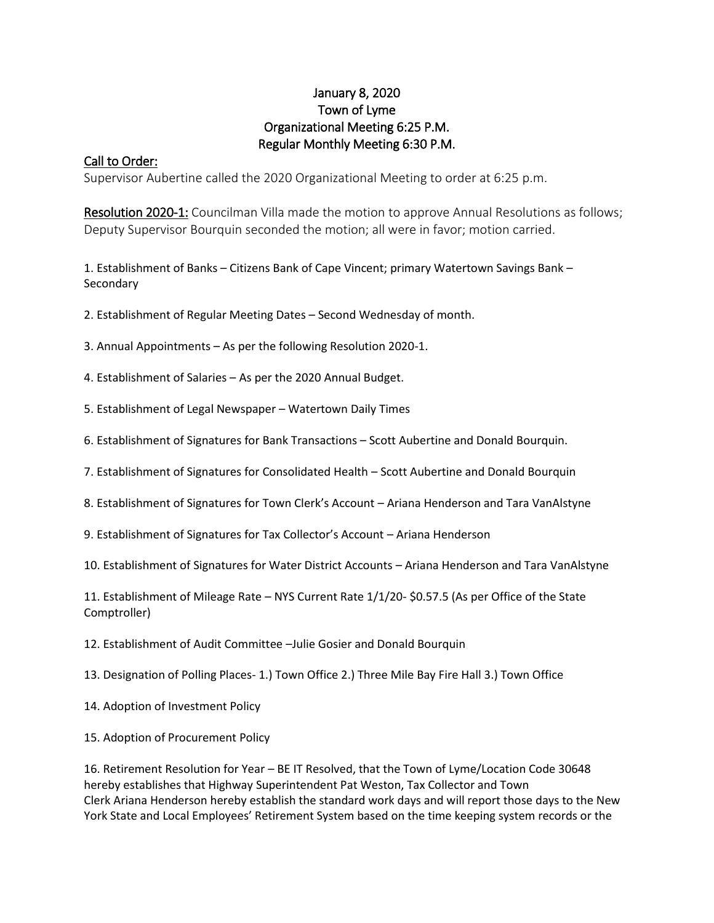## January 8, 2020 Town of Lyme Organizational Meeting 6:25 P.M. Regular Monthly Meeting 6:30 P.M.

### Call to Order:

Supervisor Aubertine called the 2020 Organizational Meeting to order at 6:25 p.m.

Resolution 2020-1: Councilman Villa made the motion to approve Annual Resolutions as follows; Deputy Supervisor Bourquin seconded the motion; all were in favor; motion carried.

1. Establishment of Banks – Citizens Bank of Cape Vincent; primary Watertown Savings Bank – Secondary

2. Establishment of Regular Meeting Dates – Second Wednesday of month.

- 3. Annual Appointments As per the following Resolution 2020-1.
- 4. Establishment of Salaries As per the 2020 Annual Budget.
- 5. Establishment of Legal Newspaper Watertown Daily Times
- 6. Establishment of Signatures for Bank Transactions Scott Aubertine and Donald Bourquin.
- 7. Establishment of Signatures for Consolidated Health Scott Aubertine and Donald Bourquin
- 8. Establishment of Signatures for Town Clerk's Account Ariana Henderson and Tara VanAlstyne
- 9. Establishment of Signatures for Tax Collector's Account Ariana Henderson
- 10. Establishment of Signatures for Water District Accounts Ariana Henderson and Tara VanAlstyne

11. Establishment of Mileage Rate – NYS Current Rate 1/1/20- \$0.57.5 (As per Office of the State Comptroller)

- 12. Establishment of Audit Committee –Julie Gosier and Donald Bourquin
- 13. Designation of Polling Places- 1.) Town Office 2.) Three Mile Bay Fire Hall 3.) Town Office
- 14. Adoption of Investment Policy
- 15. Adoption of Procurement Policy

16. Retirement Resolution for Year – BE IT Resolved, that the Town of Lyme/Location Code 30648 hereby establishes that Highway Superintendent Pat Weston, Tax Collector and Town Clerk Ariana Henderson hereby establish the standard work days and will report those days to the New York State and Local Employees' Retirement System based on the time keeping system records or the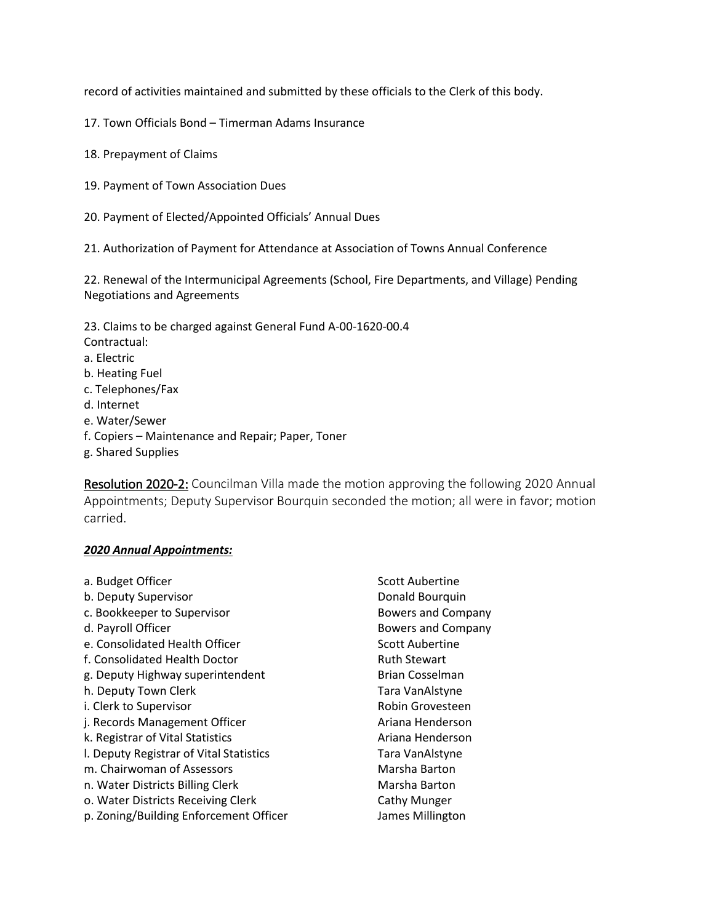record of activities maintained and submitted by these officials to the Clerk of this body.

17. Town Officials Bond – Timerman Adams Insurance

- 18. Prepayment of Claims
- 19. Payment of Town Association Dues

20. Payment of Elected/Appointed Officials' Annual Dues

21. Authorization of Payment for Attendance at Association of Towns Annual Conference

22. Renewal of the Intermunicipal Agreements (School, Fire Departments, and Village) Pending Negotiations and Agreements

23. Claims to be charged against General Fund A-00-1620-00.4

- Contractual:
- a. Electric
- b. Heating Fuel
- c. Telephones/Fax
- d. Internet
- e. Water/Sewer
- f. Copiers Maintenance and Repair; Paper, Toner
- g. Shared Supplies

Resolution 2020-2: Councilman Villa made the motion approving the following 2020 Annual Appointments; Deputy Supervisor Bourquin seconded the motion; all were in favor; motion carried.

#### *2020 Annual Appointments:*

| a. Budget Officer                       | Scott Aubertine           |
|-----------------------------------------|---------------------------|
| b. Deputy Supervisor                    | Donald Bourquin           |
| c. Bookkeeper to Supervisor             | <b>Bowers and Company</b> |
| d. Payroll Officer                      | <b>Bowers and Company</b> |
| e. Consolidated Health Officer          | <b>Scott Aubertine</b>    |
| f. Consolidated Health Doctor           | <b>Ruth Stewart</b>       |
| g. Deputy Highway superintendent        | Brian Cosselman           |
| h. Deputy Town Clerk                    | Tara VanAlstyne           |
| i. Clerk to Supervisor                  | Robin Grovesteen          |
| j. Records Management Officer           | Ariana Henderson          |
| k. Registrar of Vital Statistics        | Ariana Henderson          |
| I. Deputy Registrar of Vital Statistics | Tara VanAlstyne           |
| m. Chairwoman of Assessors              | Marsha Barton             |
| n. Water Districts Billing Clerk        | Marsha Barton             |
| o. Water Districts Receiving Clerk      | <b>Cathy Munger</b>       |
| p. Zoning/Building Enforcement Officer  | James Millington          |
|                                         |                           |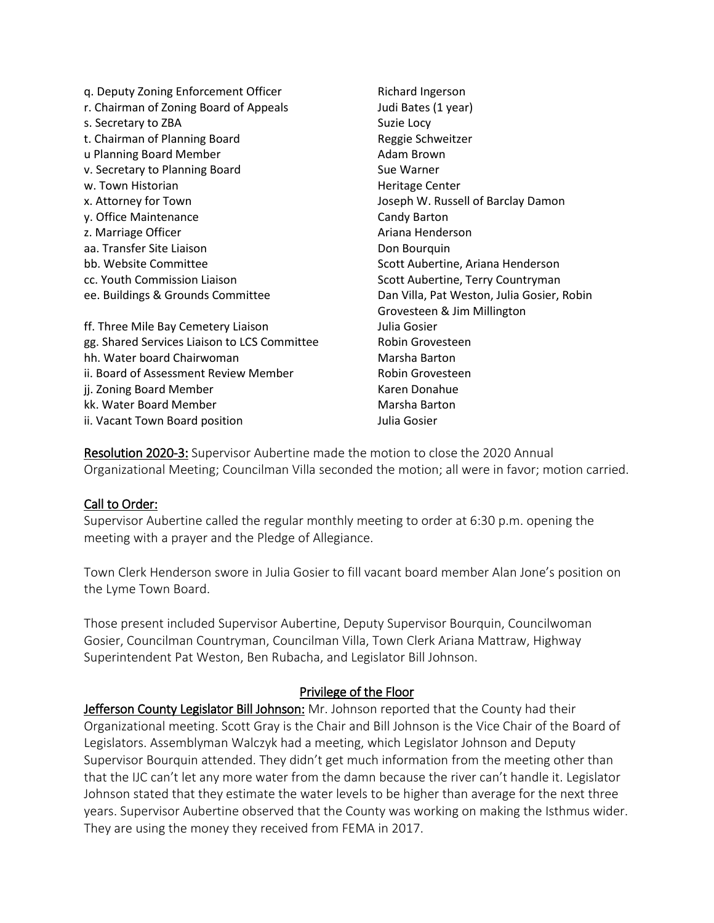q. Deputy Zoning Enforcement Officer **Richard Ingerson** r. Chairman of Zoning Board of Appeals Judi Bates (1 year) s. Secretary to ZBA Suzie Locy t. Chairman of Planning Board **Reggie Schweitzer** u Planning Board Member **Adam Brown** 2014 v. Secretary to Planning Board Sue Warner w. Town Historian **Heritage Center Heritage Center** x. Attorney for Town Joseph W. Russell of Barclay Damon y. Office Maintenance Candy Barton z. Marriage Officer **Ariana Henderson** aa. Transfer Site Liaison Don Bourquin bb. Website Committee Scott Aubertine, Ariana Henderson cc. Youth Commission Liaison Scott Aubertine, Terry Countryman ee. Buildings & Grounds Committee Dan Villa, Pat Weston, Julia Gosier, Robin Grovesteen & Jim Millington ff. Three Mile Bay Cemetery Liaison Julia Gosier gg. Shared Services Liaison to LCS Committee Robin Grovesteen hh. Water board Chairwoman Marsha Barton ii. Board of Assessment Review Member **Robin Grovesteen** ji. Zoning Board Member New York Channels (Karen Donahue kk. Water Board Member Marsha Barton ii. Vacant Town Board position Julia Gosier

Resolution 2020-3: Supervisor Aubertine made the motion to close the 2020 Annual Organizational Meeting; Councilman Villa seconded the motion; all were in favor; motion carried.

#### Call to Order:

Supervisor Aubertine called the regular monthly meeting to order at 6:30 p.m. opening the meeting with a prayer and the Pledge of Allegiance.

Town Clerk Henderson swore in Julia Gosier to fill vacant board member Alan Jone's position on the Lyme Town Board.

Those present included Supervisor Aubertine, Deputy Supervisor Bourquin, Councilwoman Gosier, Councilman Countryman, Councilman Villa, Town Clerk Ariana Mattraw, Highway Superintendent Pat Weston, Ben Rubacha, and Legislator Bill Johnson.

## Privilege of the Floor

Jefferson County Legislator Bill Johnson: Mr. Johnson reported that the County had their Organizational meeting. Scott Gray is the Chair and Bill Johnson is the Vice Chair of the Board of Legislators. Assemblyman Walczyk had a meeting, which Legislator Johnson and Deputy Supervisor Bourquin attended. They didn't get much information from the meeting other than that the IJC can't let any more water from the damn because the river can't handle it. Legislator Johnson stated that they estimate the water levels to be higher than average for the next three years. Supervisor Aubertine observed that the County was working on making the Isthmus wider. They are using the money they received from FEMA in 2017.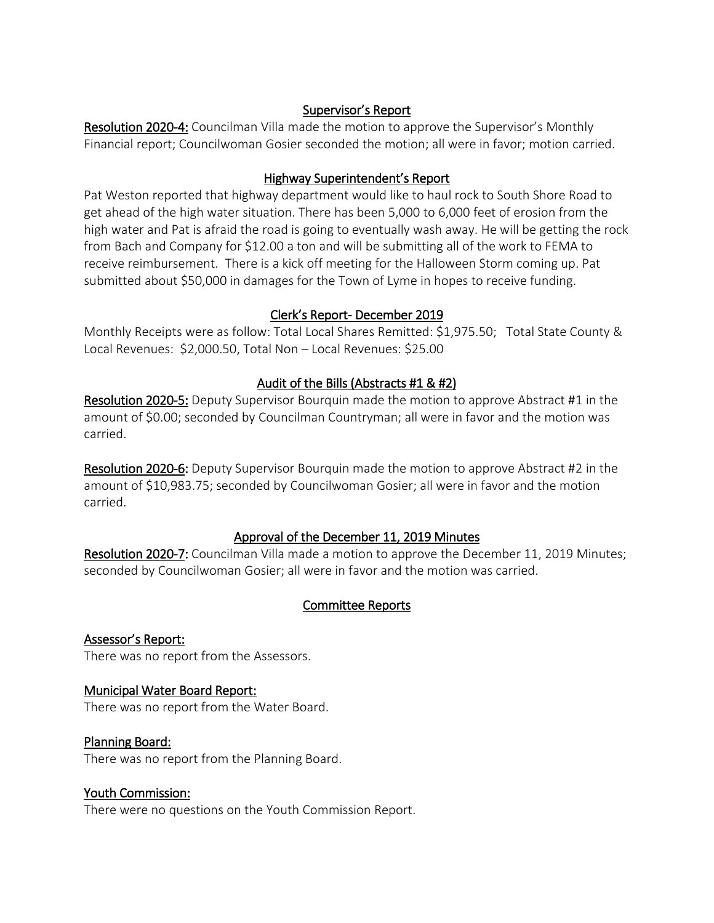## Supervisor's Report

Resolution 2020-4: Councilman Villa made the motion to approve the Supervisor's Monthly Financial report; Councilwoman Gosier seconded the motion; all were in favor; motion carried.

## Highway Superintendent's Report

Pat Weston reported that highway department would like to haul rock to South Shore Road to get ahead of the high water situation. There has been 5,000 to 6,000 feet of erosion from the high water and Pat is afraid the road is going to eventually wash away. He will be getting the rock from Bach and Company for \$12.00 a ton and will be submitting all of the work to FEMA to receive reimbursement. There is a kick off meeting for the Halloween Storm coming up. Pat submitted about \$50,000 in damages for the Town of Lyme in hopes to receive funding.

## Clerk's Report- December 2019

Monthly Receipts were as follow: Total Local Shares Remitted: \$1,975.50; Total State County & Local Revenues: \$2,000.50, Total Non – Local Revenues: \$25.00

## Audit of the Bills (Abstracts #1 & #2)

Resolution 2020-5: Deputy Supervisor Bourquin made the motion to approve Abstract #1 in the amount of \$0.00; seconded by Councilman Countryman; all were in favor and the motion was carried.

Resolution 2020-6: Deputy Supervisor Bourquin made the motion to approve Abstract #2 in the amount of \$10,983.75; seconded by Councilwoman Gosier; all were in favor and the motion carried.

## Approval of the December 11, 2019 Minutes

Resolution 2020-7: Councilman Villa made a motion to approve the December 11, 2019 Minutes; seconded by Councilwoman Gosier; all were in favor and the motion was carried.

## Committee Reports

Assessor's Report: There was no report from the Assessors.

# Municipal Water Board Report:

There was no report from the Water Board.

## Planning Board:

There was no report from the Planning Board.

## Youth Commission:

There were no questions on the Youth Commission Report.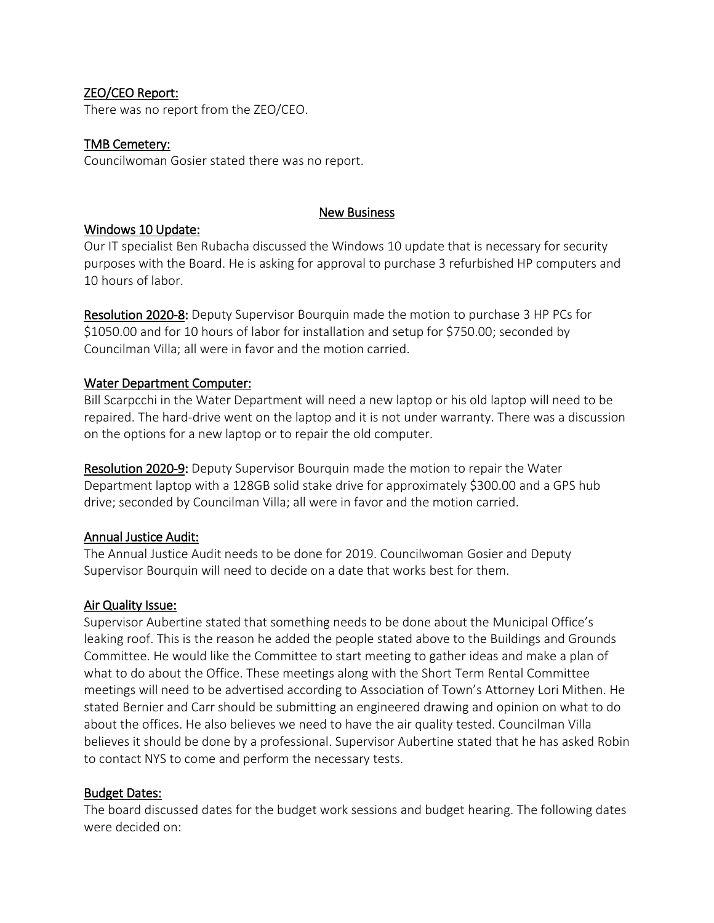### ZEO/CEO Report:

There was no report from the ZEO/CEO.

#### TMB Cemetery:

Councilwoman Gosier stated there was no report.

#### New Business

#### Windows 10 Update:

Our IT specialist Ben Rubacha discussed the Windows 10 update that is necessary for security purposes with the Board. He is asking for approval to purchase 3 refurbished HP computers and 10 hours of labor.

Resolution 2020-8: Deputy Supervisor Bourquin made the motion to purchase 3 HP PCs for \$1050.00 and for 10 hours of labor for installation and setup for \$750.00; seconded by Councilman Villa; all were in favor and the motion carried.

#### Water Department Computer:

Bill Scarpcchi in the Water Department will need a new laptop or his old laptop will need to be repaired. The hard-drive went on the laptop and it is not under warranty. There was a discussion on the options for a new laptop or to repair the old computer.

Resolution 2020-9: Deputy Supervisor Bourquin made the motion to repair the Water Department laptop with a 128GB solid stake drive for approximately \$300.00 and a GPS hub drive; seconded by Councilman Villa; all were in favor and the motion carried.

#### Annual Justice Audit:

The Annual Justice Audit needs to be done for 2019. Councilwoman Gosier and Deputy Supervisor Bourquin will need to decide on a date that works best for them.

#### Air Quality Issue:

Supervisor Aubertine stated that something needs to be done about the Municipal Office's leaking roof. This is the reason he added the people stated above to the Buildings and Grounds Committee. He would like the Committee to start meeting to gather ideas and make a plan of what to do about the Office. These meetings along with the Short Term Rental Committee meetings will need to be advertised according to Association of Town's Attorney Lori Mithen. He stated Bernier and Carr should be submitting an engineered drawing and opinion on what to do about the offices. He also believes we need to have the air quality tested. Councilman Villa believes it should be done by a professional. Supervisor Aubertine stated that he has asked Robin to contact NYS to come and perform the necessary tests.

#### Budget Dates:

The board discussed dates for the budget work sessions and budget hearing. The following dates were decided on: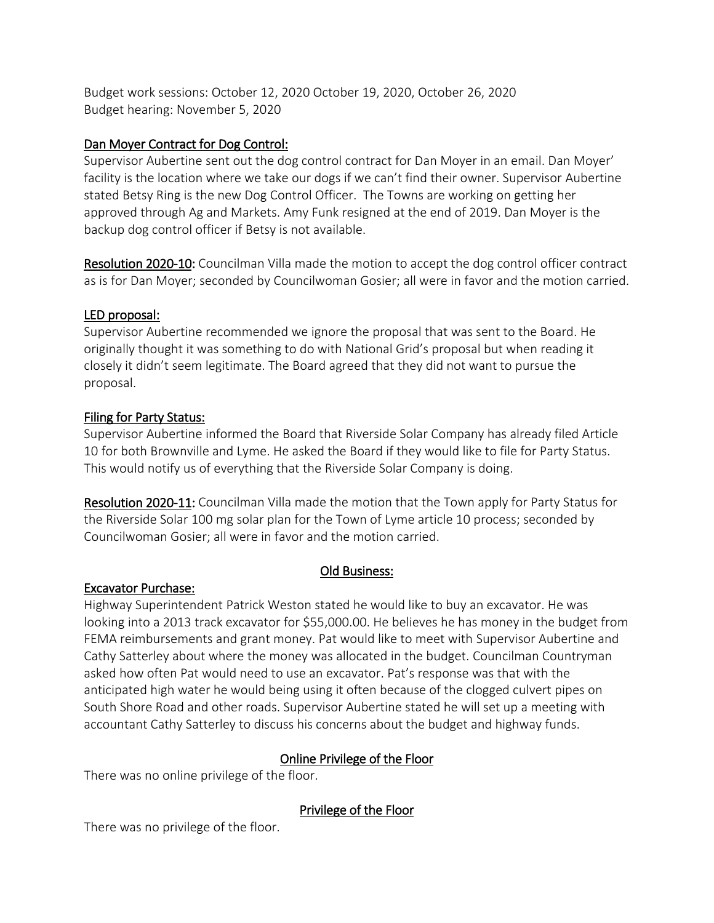Budget work sessions: October 12, 2020 October 19, 2020, October 26, 2020 Budget hearing: November 5, 2020

## Dan Moyer Contract for Dog Control:

Supervisor Aubertine sent out the dog control contract for Dan Moyer in an email. Dan Moyer' facility is the location where we take our dogs if we can't find their owner. Supervisor Aubertine stated Betsy Ring is the new Dog Control Officer. The Towns are working on getting her approved through Ag and Markets. Amy Funk resigned at the end of 2019. Dan Moyer is the backup dog control officer if Betsy is not available.

Resolution 2020-10: Councilman Villa made the motion to accept the dog control officer contract as is for Dan Moyer; seconded by Councilwoman Gosier; all were in favor and the motion carried.

## LED proposal:

Supervisor Aubertine recommended we ignore the proposal that was sent to the Board. He originally thought it was something to do with National Grid's proposal but when reading it closely it didn't seem legitimate. The Board agreed that they did not want to pursue the proposal.

## Filing for Party Status:

Supervisor Aubertine informed the Board that Riverside Solar Company has already filed Article 10 for both Brownville and Lyme. He asked the Board if they would like to file for Party Status. This would notify us of everything that the Riverside Solar Company is doing.

Resolution 2020-11: Councilman Villa made the motion that the Town apply for Party Status for the Riverside Solar 100 mg solar plan for the Town of Lyme article 10 process; seconded by Councilwoman Gosier; all were in favor and the motion carried.

## Old Business:

## Excavator Purchase:

Highway Superintendent Patrick Weston stated he would like to buy an excavator. He was looking into a 2013 track excavator for \$55,000.00. He believes he has money in the budget from FEMA reimbursements and grant money. Pat would like to meet with Supervisor Aubertine and Cathy Satterley about where the money was allocated in the budget. Councilman Countryman asked how often Pat would need to use an excavator. Pat's response was that with the anticipated high water he would being using it often because of the clogged culvert pipes on South Shore Road and other roads. Supervisor Aubertine stated he will set up a meeting with accountant Cathy Satterley to discuss his concerns about the budget and highway funds.

## Online Privilege of the Floor

There was no online privilege of the floor.

Privilege of the Floor

There was no privilege of the floor.